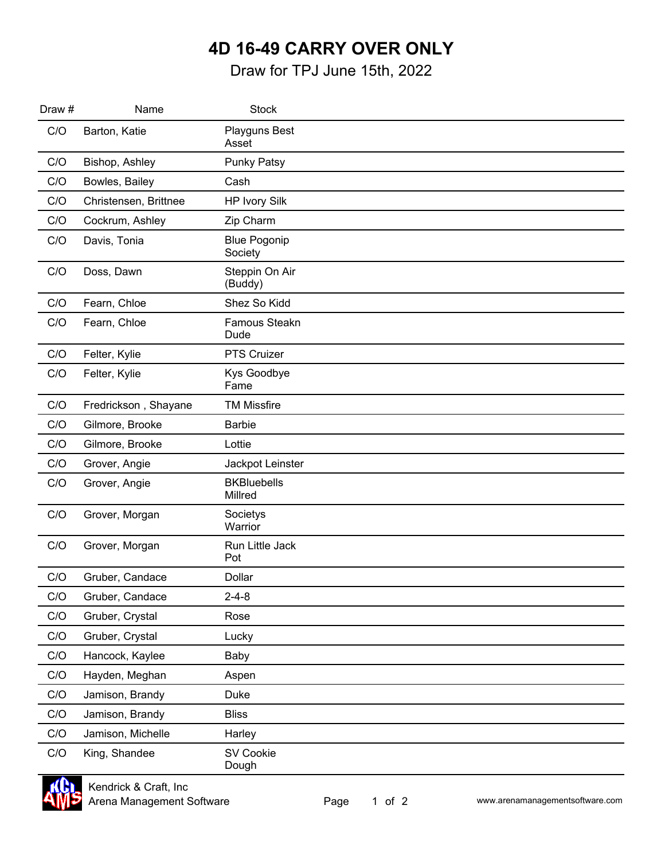## Printed on: 6/14/2022 **4D 16-49 CARRY OVER ONLY**

Draw for TPJ June 15th, 2022

| Draw # | Name                  | <b>Stock</b>                   |  |
|--------|-----------------------|--------------------------------|--|
| C/O    | Barton, Katie         | Playguns Best<br>Asset         |  |
| C/O    | Bishop, Ashley        | <b>Punky Patsy</b>             |  |
| C/O    | Bowles, Bailey        | Cash                           |  |
| C/O    | Christensen, Brittnee | <b>HP Ivory Silk</b>           |  |
| C/O    | Cockrum, Ashley       | Zip Charm                      |  |
| C/O    | Davis, Tonia          | <b>Blue Pogonip</b><br>Society |  |
| C/O    | Doss, Dawn            | Steppin On Air<br>(Buddy)      |  |
| C/O    | Fearn, Chloe          | Shez So Kidd                   |  |
| C/O    | Fearn, Chloe          | Famous Steakn<br>Dude          |  |
| C/O    | Felter, Kylie         | PTS Cruizer                    |  |
| C/O    | Felter, Kylie         | Kys Goodbye<br>Fame            |  |
| C/O    | Fredrickson, Shayane  | <b>TM Missfire</b>             |  |
| C/O    | Gilmore, Brooke       | <b>Barbie</b>                  |  |
| C/O    | Gilmore, Brooke       | Lottie                         |  |
| C/O    | Grover, Angie         | Jackpot Leinster               |  |
| C/O    | Grover, Angie         | <b>BKBluebells</b><br>Millred  |  |
| C/O    | Grover, Morgan        | Societys<br>Warrior            |  |
| C/O    | Grover, Morgan        | Run Little Jack<br>Pot         |  |
| C/O    | Gruber, Candace       | Dollar                         |  |
| C/O    | Gruber, Candace       | $2 - 4 - 8$                    |  |
| C/O    | Gruber, Crystal       | Rose                           |  |
| C/O    | Gruber, Crystal       | Lucky                          |  |
| C/O    | Hancock, Kaylee       | Baby                           |  |
| C/O    | Hayden, Meghan        | Aspen                          |  |
| C/O    | Jamison, Brandy       | Duke                           |  |
| C/O    | Jamison, Brandy       | <b>Bliss</b>                   |  |
| C/O    | Jamison, Michelle     | Harley                         |  |
| C/O    | King, Shandee         | SV Cookie<br>Dough             |  |